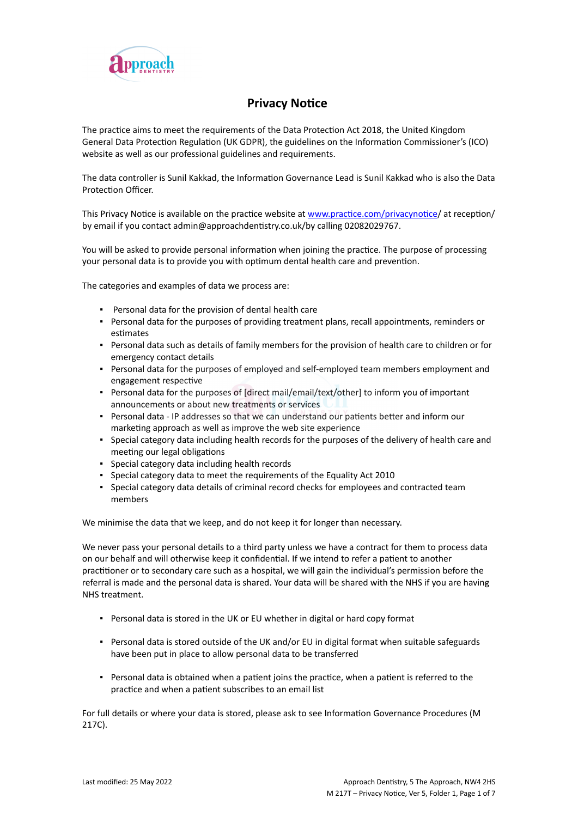

# **Privacy Notice**

The practice aims to meet the requirements of the Data Protection Act 2018, the United Kingdom General Data Protection Regulation (UK GDPR), the guidelines on the Information Commissioner's (ICO) website as well as our professional guidelines and requirements.

The data controller is Sunil Kakkad, the Information Governance Lead is Sunil Kakkad who is also the Data Protection Officer.

This Privacy Notice is available on the practice website at [www.practice.com/privacynotice/](http://www.practice.com/) at reception/ by email if you contact admin@approachdentistry.co.uk/by calling 02082029767.

You will be asked to provide personal information when joining the practice. The purpose of processing your personal data is to provide you with optimum dental health care and prevention.

The categories and examples of data we process are:

- Personal data for the provision of dental health care
- Personal data for the purposes of providing treatment plans, recall appointments, reminders or estimates
- Personal data such as details of family members for the provision of health care to children or for emergency contact details
- Personal data for the purposes of employed and self-employed team members employment and engagement respective
- Personal data for the purposes of [direct mail/email/text/other] to inform you of important announcements or about new treatments or services
- Personal data IP addresses so that we can understand our patients better and inform our marketing approach as well as improve the web site experience
- Special category data including health records for the purposes of the delivery of health care and meeting our legal obligations
- Special category data including health records
- Special category data to meet the requirements of the Equality Act 2010
- Special category data details of criminal record checks for employees and contracted team members

We minimise the data that we keep, and do not keep it for longer than necessary.

We never pass your personal details to a third party unless we have a contract for them to process data on our behalf and will otherwise keep it confidential. If we intend to refer a patient to another practitioner or to secondary care such as a hospital, we will gain the individual's permission before the referral is made and the personal data is shared. Your data will be shared with the NHS if you are having NHS treatment.

- Personal data is stored in the UK or EU whether in digital or hard copy format
- Personal data is stored outside of the UK and/or EU in digital format when suitable safeguards have been put in place to allow personal data to be transferred
- Personal data is obtained when a patient joins the practice, when a patient is referred to the practice and when a patient subscribes to an email list

For full details or where your data is stored, please ask to see Information Governance Procedures (M 217C).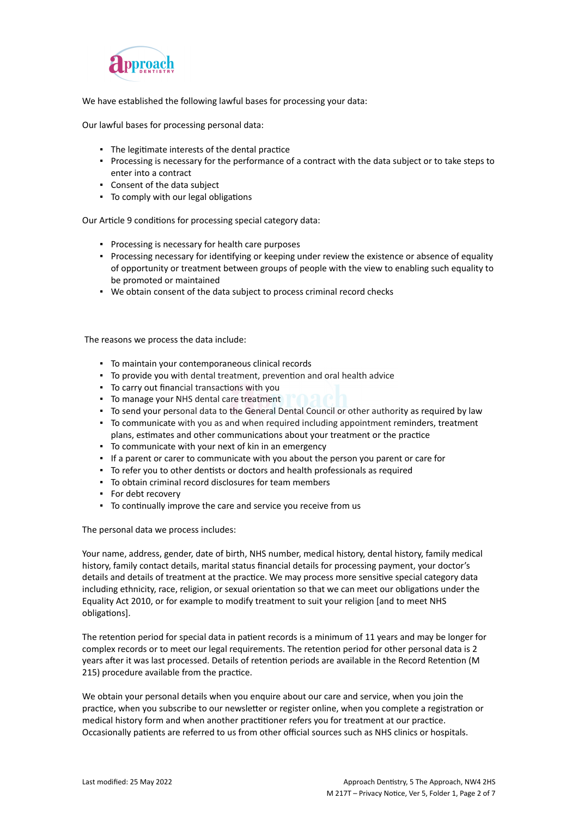

We have established the following lawful bases for processing your data:

Our lawful bases for processing personal data:

- The legitimate interests of the dental practice
- Processing is necessary for the performance of a contract with the data subject or to take steps to enter into a contract
- Consent of the data subject
- To comply with our legal obligations

Our Article 9 conditions for processing special category data:

- Processing is necessary for health care purposes
- Processing necessary for identifying or keeping under review the existence or absence of equality of opportunity or treatment between groups of people with the view to enabling such equality to be promoted or maintained
- We obtain consent of the data subject to process criminal record checks

The reasons we process the data include:

- To maintain your contemporaneous clinical records
- To provide you with dental treatment, prevention and oral health advice
- To carry out financial transactions with you
- To manage your NHS dental care treatment
- To send your personal data to the General Dental Council or other authority as required by law
- To communicate with you as and when required including appointment reminders, treatment plans, estimates and other communications about your treatment or the practice
- To communicate with your next of kin in an emergency
- If a parent or carer to communicate with you about the person you parent or care for
- To refer you to other dentists or doctors and health professionals as required
- To obtain criminal record disclosures for team members
- For debt recovery
- To continually improve the care and service you receive from us

The personal data we process includes:

Your name, address, gender, date of birth, NHS number, medical history, dental history, family medical history, family contact details, marital status financial details for processing payment, your doctor's details and details of treatment at the practice. We may process more sensitive special category data including ethnicity, race, religion, or sexual orientation so that we can meet our obligations under the Equality Act 2010, or for example to modify treatment to suit your religion [and to meet NHS obligations].

The retention period for special data in patient records is a minimum of 11 years and may be longer for complex records or to meet our legal requirements. The retention period for other personal data is 2 years after it was last processed. Details of retention periods are available in the Record Retention (M 215) procedure available from the practice.

We obtain your personal details when you enquire about our care and service, when you join the practice, when you subscribe to our newsletter or register online, when you complete a registration or medical history form and when another practitioner refers you for treatment at our practice. Occasionally patients are referred to us from other official sources such as NHS clinics or hospitals.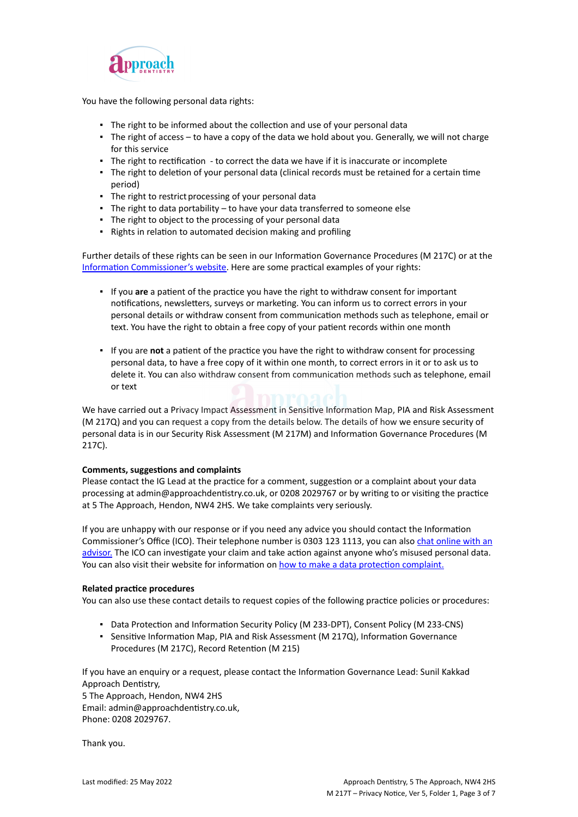

You have the following personal data rights:

- **•** The right to be informed about the collection and use of your personal data
- The right of access to have a copy of the data we hold about you. Generally, we will not charge for this service
- The right to rectification to correct the data we have if it is inaccurate or incomplete
- The right to deletion of your personal data (clinical records must be retained for a certain time period)
- The right to restrict processing of your personal data
- The right to data portability to have your data transferred to someone else
- The right to object to the processing of your personal data
- Rights in relation to automated decision making and profiling

Further details of these rights can be seen in our Information Governance Procedures (M 217C) or at the [Information Commissioner's website](https://ico.org.uk/for-organisations/guide-to-the-general-data-protection-regulation-gdpr/individual-rights/). Here are some practical examples of your rights:

- If you **are** a patient of the practice you have the right to withdraw consent for important notifications, newsletters, surveys or marketing. You can inform us to correct errors in your personal details or withdraw consent from communication methods such as telephone, email or text. You have the right to obtain a free copy of your patient records within one month
- If you are **not** a patient of the practice you have the right to withdraw consent for processing personal data, to have a free copy of it within one month, to correct errors in it or to ask us to delete it. You can also withdraw consent from communication methods such as telephone, email or text

We have carried out a Privacy Impact Assessment in Sensitive Information Map, PIA and Risk Assessment (M 217Q) and you can request a copy from the details below. The details of how we ensure security of personal data is in our Security Risk Assessment (M 217M) and Information Governance Procedures (M 217C).

### **Comments, suggestions and complaints**

Please contact the IG Lead at the practice for a comment, suggestion or a complaint about your data processing at admin@approachdentistry.co.uk, or 0208 2029767 or by writing to or visiting the practice at 5 The Approach, Hendon, NW4 2HS. We take complaints very seriously.

If you are unhappy with our response or if you need any advice you should contact the Information Commissioner's Office (ICO). Their telephone number is 0303 123 1113, you can also [chat online with an](https://ico.org.uk/global/contact-us/live-chat/) [advisor.](https://ico.org.uk/global/contact-us/live-chat/) The ICO can investigate your claim and take action against anyone who's misused personal data. You can also visit their website for information on [how to make a data protection complaint.](http://www.ico.org.uk/complaints)

#### **Related practice procedures**

You can also use these contact details to request copies of the following practice policies or procedures:

- Data Protection and Information Security Policy (M 233-DPT), Consent Policy (M 233-CNS)
- Sensitive Information Map, PIA and Risk Assessment (M 217Q), Information Governance Procedures (M 217C), Record Retention (M 215)

If you have an enquiry or a request, please contact the Information Governance Lead: Sunil Kakkad Approach Dentistry,

5 The Approach, Hendon, NW4 2HS Email: admin@approachdentistry.co.uk, Phone: 0208 2029767.

Thank you.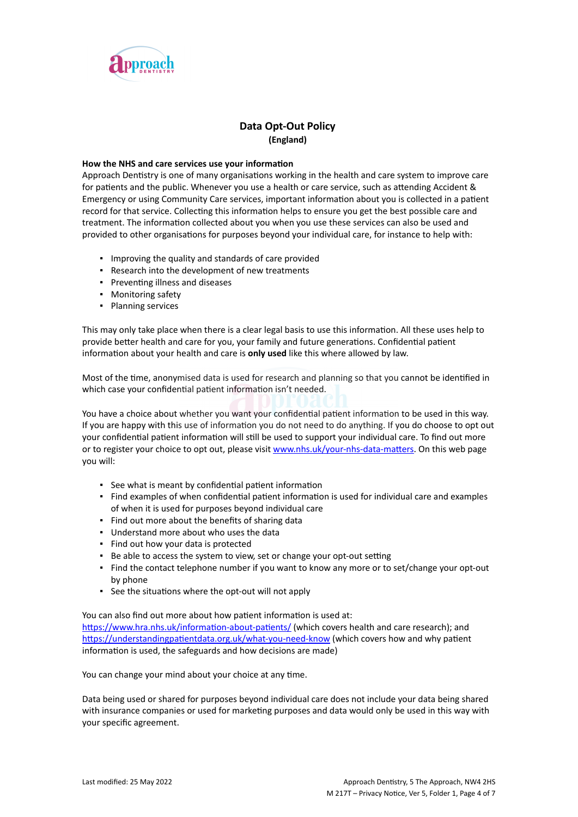

# **Data Opt-Out Policy (England)**

#### **How the NHS and care services use your information**

Approach Dentistry is one of many organisations working in the health and care system to improve care for patients and the public. Whenever you use a health or care service, such as attending Accident & Emergency or using Community Care services, important information about you is collected in a patient record for that service. Collecting this information helps to ensure you get the best possible care and treatment. The information collected about you when you use these services can also be used and provided to other organisations for purposes beyond your individual care, for instance to help with:

- Improving the quality and standards of care provided
- Research into the development of new treatments
- Preventing illness and diseases
- Monitoring safety
- Planning services

This may only take place when there is a clear legal basis to use this information. All these uses help to provide better health and care for you, your family and future generations. Confidential patient information about your health and care is **only used** like this where allowed by law.

Most of the time, anonymised data is used for research and planning so that you cannot be identified in which case your confidential patient information isn't needed.

You have a choice about whether you want your confidential patient information to be used in this way. If you are happy with this use of information you do not need to do anything. If you do choose to opt out your confidential patient information will still be used to support your individual care. To find out more or to register your choice to opt out, please visit [www.nhs.uk/your-nhs-data-matters](http://www.nhs.uk/your-nhs-data-matters). On this web page you will:

- See what is meant by confidential patient information
- Find examples of when confidential patient information is used for individual care and examples of when it is used for purposes beyond individual care
- Find out more about the benefits of sharing data
- Understand more about who uses the data
- Find out how your data is protected
- Be able to access the system to view, set or change your opt-out setting
- Find the contact telephone number if you want to know any more or to set/change your opt-out by phone
- See the situations where the opt-out will not apply

You can also find out more about how patient information is used at: [https://www.hra.nhs.uk/information-about-patients/](https://www.hra.nhs.uk/information-about-patients/%20) (which covers health and care research); and <https://understandingpatientdata.org.uk/what-you-need-know> (which covers how and why patient information is used, the safeguards and how decisions are made)

You can change your mind about your choice at any time.

Data being used or shared for purposes beyond individual care does not include your data being shared with insurance companies or used for marketing purposes and data would only be used in this way with your specific agreement.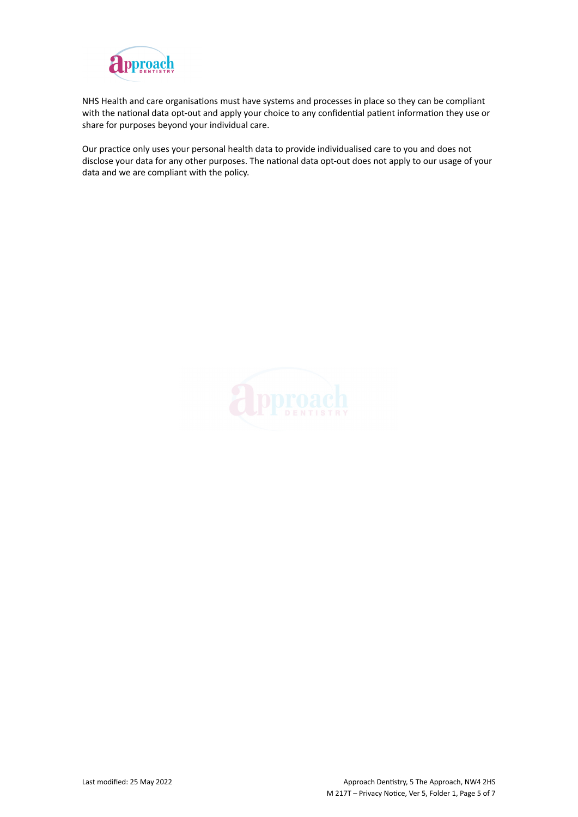

NHS Health and care organisations must have systems and processes in place so they can be compliant with the national data opt-out and apply your choice to any confidential patient information they use or share for purposes beyond your individual care.

Our practice only uses your personal health data to provide individualised care to you and does not disclose your data for any other purposes. The national data opt-out does not apply to our usage of your data and we are compliant with the policy.

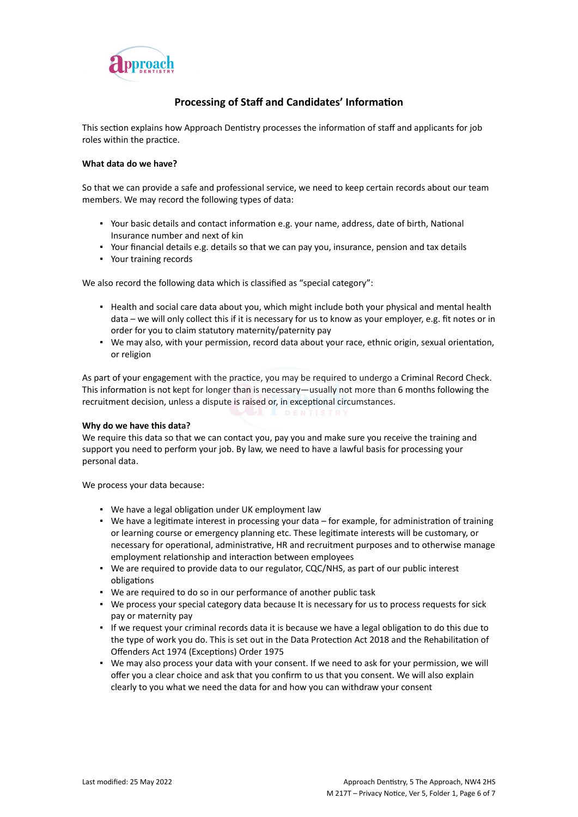

# **Processing of Staff and Candidates' Information**

This section explains how Approach Dentistry processes the information of staff and applicants for job roles within the practice.

### **What data do we have?**

So that we can provide a safe and professional service, we need to keep certain records about our team members. We may record the following types of data:

- Your basic details and contact information e.g. your name, address, date of birth, National Insurance number and next of kin
- Your financial details e.g. details so that we can pay you, insurance, pension and tax details
- Your training records

We also record the following data which is classified as "special category":

- Health and social care data about you, which might include both your physical and mental health data – we will only collect this if it is necessary for us to know as your employer, e.g. fit notes or in order for you to claim statutory maternity/paternity pay
- We may also, with your permission, record data about your race, ethnic origin, sexual orientation, or religion

As part of your engagement with the practice, you may be required to undergo a Criminal Record Check. This information is not kept for longer than is necessary—usually not more than 6 months following the recruitment decision, unless a dispute is raised or, in exceptional circumstances.

#### **Why do we have this data?**

We require this data so that we can contact you, pay you and make sure you receive the training and support you need to perform your job. By law, we need to have a lawful basis for processing your personal data.

We process your data because:

- We have a legal obligation under UK employment law
- We have a legitimate interest in processing your data for example, for administration of training or learning course or emergency planning etc. These legitimate interests will be customary, or necessary for operational, administrative, HR and recruitment purposes and to otherwise manage employment relationship and interaction between employees
- We are required to provide data to our regulator, CQC/NHS, as part of our public interest obligations
- We are required to do so in our performance of another public task
- We process your special category data because It is necessary for us to process requests for sick pay or maternity pay
- If we request your criminal records data it is because we have a legal obligation to do this due to the type of work you do. This is set out in the Data Protection Act 2018 and the Rehabilitation of Offenders Act 1974 (Exceptions) Order 1975
- We may also process your data with your consent. If we need to ask for your permission, we will offer you a clear choice and ask that you confirm to us that you consent. We will also explain clearly to you what we need the data for and how you can withdraw your consent